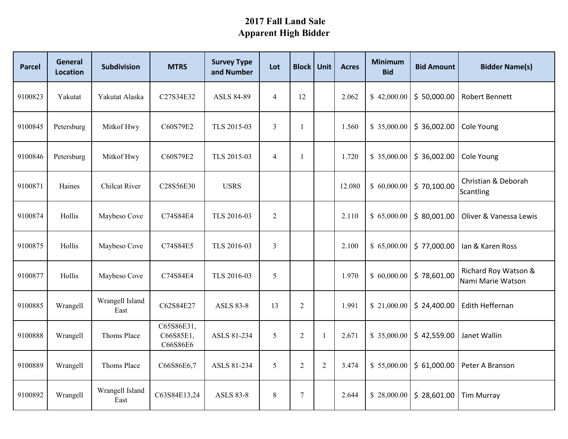## **2017 Fall Land Sale Apparent High Bidder**

| <b>Parcel</b> | <b>General</b><br><b>Location</b> | <b>Subdivision</b>      | <b>MTRS</b>                         | <b>Survey Type</b><br>and Number | Lot            | <b>Block Unit</b> |                | <b>Acres</b> | <b>Minimum</b><br><b>Bid</b> | <b>Bid Amount</b> | <b>Bidder Name(s)</b>                     |
|---------------|-----------------------------------|-------------------------|-------------------------------------|----------------------------------|----------------|-------------------|----------------|--------------|------------------------------|-------------------|-------------------------------------------|
| 9100823       | Yakutat                           | Yakutat Alaska          | C27S34E32                           | <b>ASLS 84-89</b>                | $\overline{4}$ | 12                |                | 2.062        | \$42,000.00                  | \$50,000.00       | <b>Robert Bennett</b>                     |
| 9100845       | Petersburg                        | Mitkof Hwy              | C60S79E2                            | TLS 2015-03                      | $\mathfrak{Z}$ | -1                |                | 1.560        | \$35,000.00                  | \$36,002.00       | Cole Young                                |
| 9100846       | Petersburg                        | Mitkof Hwy              | C60S79E2                            | TLS 2015-03                      | $\overline{4}$ | -1                |                | 1.720        | \$35,000.00                  | \$36,002.00       | Cole Young                                |
| 9100871       | Haines                            | <b>Chilcat River</b>    | C28S56E30                           | <b>USRS</b>                      |                |                   |                | 12.080       | \$60,000.00                  | \$70,100.00       | Christian & Deborah<br><b>Scantling</b>   |
| 9100874       | Hollis                            | Maybeso Cove            | C74S84E4                            | TLS 2016-03                      | $\overline{2}$ |                   |                | 2.110        | \$65,000.00                  | \$80,001.00       | Oliver & Vanessa Lewis                    |
| 9100875       | Hollis                            | Maybeso Cove            | C74S84E5                            | TLS 2016-03                      | $\overline{3}$ |                   |                | 2.100        | \$65,000.00                  | \$77,000.00       | lan & Karen Ross                          |
| 9100877       | Hollis                            | Maybeso Cove            | C74S84E4                            | TLS 2016-03                      | 5              |                   |                | 1.970        | \$60,000.00                  | \$78,601.00       | Richard Roy Watson &<br>Nami Marie Watson |
| 9100885       | Wrangell                          | Wrangell Island<br>East | C62S84E27                           | <b>ASLS 83-8</b>                 | 13             | $\overline{2}$    |                | 1.991        | \$21,000.00                  | \$24,400.00       | Edith Heffernan                           |
| 9100888       | Wrangell                          | Thoms Place             | C65S86E31,<br>C66S85E1,<br>C66S86E6 | ASLS 81-234                      | 5              | $\overline{2}$    | $\mathbf{1}$   | 2.671        | \$ 35,000.00                 | \$42,559.00       | Janet Wallin                              |
| 9100889       | Wrangell                          | Thoms Place             | C66S86E6,7                          | ASLS 81-234                      | 5              | $\overline{2}$    | $\overline{2}$ | 3.474        | \$55,000.00                  | \$61,000.00       | Peter A Branson                           |
| 9100892       | Wrangell                          | Wrangell Island<br>East | C63S84E13,24                        | <b>ASLS 83-8</b>                 | $\,8\,$        | 7                 |                | 2.644        | \$28,000.00                  | \$28,601.00       | <b>Tim Murray</b>                         |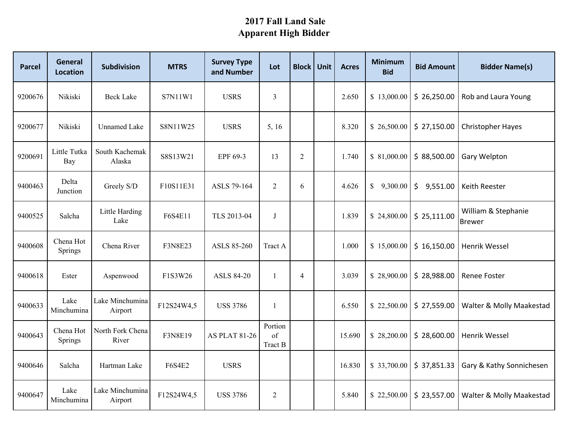## **2017 Fall Land Sale Apparent High Bidder**

| <b>Parcel</b> | <b>General</b><br><b>Location</b> | <b>Subdivision</b>         | <b>MTRS</b>    | <b>Survey Type</b><br>and Number | Lot                      | <b>Block</b>   | Unit | <b>Acres</b> | <b>Minimum</b><br><b>Bid</b> | <b>Bid Amount</b> | <b>Bidder Name(s)</b>                |
|---------------|-----------------------------------|----------------------------|----------------|----------------------------------|--------------------------|----------------|------|--------------|------------------------------|-------------------|--------------------------------------|
| 9200676       | Nikiski                           | <b>Beck Lake</b>           | S7N11W1        | <b>USRS</b>                      | 3                        |                |      | 2.650        | \$13,000.00                  | \$26,250.00       | Rob and Laura Young                  |
| 9200677       | Nikiski                           | <b>Unnamed Lake</b>        | S8N11W25       | <b>USRS</b>                      | 5, 16                    |                |      | 8.320        | \$26,500.00                  | \$27,150.00       | <b>Christopher Hayes</b>             |
| 9200691       | Little Tutka<br><b>Bay</b>        | South Kachemak<br>Alaska   | S8S13W21       | EPF 69-3                         | 13                       | $\overline{2}$ |      | 1.740        | \$81,000.00                  | \$88,500.00       | Gary Welpton                         |
| 9400463       | Delta<br>Junction                 | Greely S/D                 | F10S11E31      | ASLS 79-164                      | 2                        | 6              |      | 4.626        | \$<br>9,300.00               | \$<br>9,551.00    | Keith Reester                        |
| 9400525       | Salcha                            | Little Harding<br>Lake     | F6S4E11        | TLS 2013-04                      | $\bf J$                  |                |      | 1.839        | \$24,800.00                  | \$25,111.00       | William & Stephanie<br><b>Brewer</b> |
| 9400608       | Chena Hot<br>Springs              | Chena River                | <b>F3N8E23</b> | ASLS 85-260                      | Tract A                  |                |      | 1.000        | \$15,000.00                  | \$16,150.00       | <b>Henrik Wessel</b>                 |
| 9400618       | Ester                             | Aspenwood                  | F1S3W26        | <b>ASLS 84-20</b>                | -1                       | $\overline{4}$ |      | 3.039        | \$28,900.00                  | \$28,988.00       | Renee Foster                         |
| 9400633       | Lake<br>Minchumina                | Lake Minchumina<br>Airport | F12S24W4,5     | <b>USS 3786</b>                  | 1                        |                |      | 6.550        | \$22,500.00                  | \$27,559.00       | Walter & Molly Maakestad             |
| 9400643       | Chena Hot<br>Springs              | North Fork Chena<br>River  | F3N8E19        | <b>AS PLAT 81-26</b>             | Portion<br>of<br>Tract B |                |      | 15.690       | \$28,200.00                  | \$28,600.00       | Henrik Wessel                        |
| 9400646       | Salcha                            | Hartman Lake               | <b>F6S4E2</b>  | <b>USRS</b>                      |                          |                |      | 16.830       | \$33,700.00                  | \$37,851.33       | Gary & Kathy Sonnichesen             |
| 9400647       | Lake<br>Minchumina                | Lake Minchumina<br>Airport | F12S24W4,5     | <b>USS 3786</b>                  | $\mathfrak{2}$           |                |      | 5.840        | \$22,500.00                  | \$23,557.00       | Walter & Molly Maakestad             |